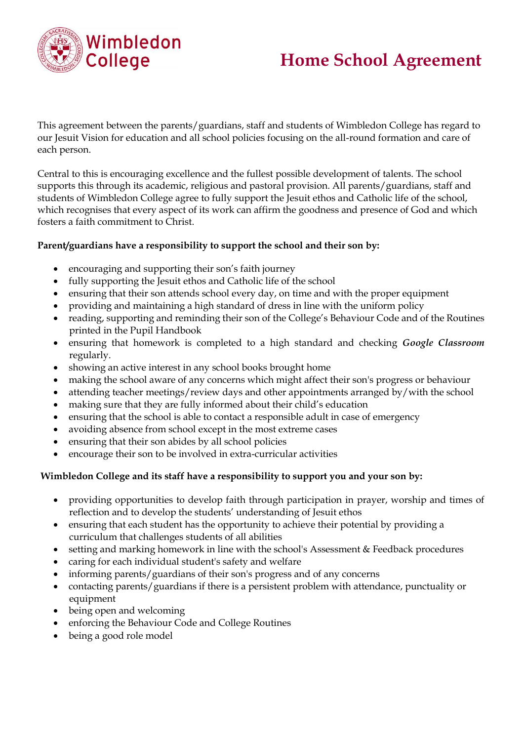

# **Home School Agreement**

This agreement between the parents/guardians, staff and students of Wimbledon College has regard to our Jesuit Vision for education and all school policies focusing on the all-round formation and care of each person.

Central to this is encouraging excellence and the fullest possible development of talents. The school supports this through its academic, religious and pastoral provision. All parents/guardians, staff and students of Wimbledon College agree to fully support the Jesuit ethos and Catholic life of the school, which recognises that every aspect of its work can affirm the goodness and presence of God and which fosters a faith commitment to Christ.

#### **Parent/guardians have a responsibility to support the school and their son by:**

- encouraging and supporting their son's faith journey
- fully supporting the Jesuit ethos and Catholic life of the school
- ensuring that their son attends school every day, on time and with the proper equipment
- providing and maintaining a high standard of dress in line with the uniform policy
- reading, supporting and reminding their son of the College's Behaviour Code and of the Routines printed in the Pupil Handbook
- ensuring that homework is completed to a high standard and checking *Google Classroom* regularly.
- showing an active interest in any school books brought home
- making the school aware of any concerns which might affect their son's progress or behaviour
- attending teacher meetings/review days and other appointments arranged by/with the school
- making sure that they are fully informed about their child's education
- ensuring that the school is able to contact a responsible adult in case of emergency
- avoiding absence from school except in the most extreme cases
- ensuring that their son abides by all school policies
- encourage their son to be involved in extra-curricular activities

#### **Wimbledon College and its staff have a responsibility to support you and your son by:**

- providing opportunities to develop faith through participation in prayer, worship and times of reflection and to develop the students' understanding of Jesuit ethos
- ensuring that each student has the opportunity to achieve their potential by providing a curriculum that challenges students of all abilities
- setting and marking homework in line with the school's Assessment & Feedback procedures
- caring for each individual student's safety and welfare
- informing parents/guardians of their son's progress and of any concerns
- contacting parents/guardians if there is a persistent problem with attendance, punctuality or equipment
- being open and welcoming
- enforcing the Behaviour Code and College Routines
- being a good role model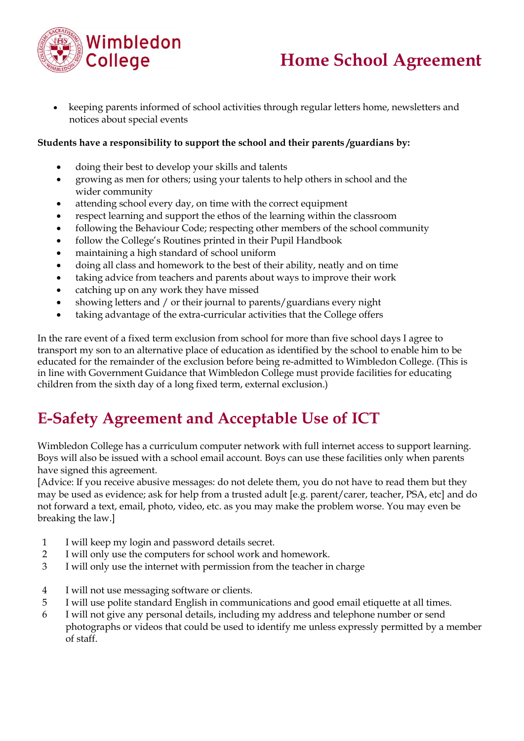

## **Home School Agreement**

• keeping parents informed of school activities through regular letters home, newsletters and notices about special events

#### **Students have a responsibility to support the school and their parents /guardians by:**

- doing their best to develop your skills and talents
- growing as men for others; using your talents to help others in school and the wider community
- attending school every day, on time with the correct equipment
- respect learning and support the ethos of the learning within the classroom
- following the Behaviour Code; respecting other members of the school community
- follow the College's Routines printed in their Pupil Handbook
- maintaining a high standard of school uniform
- doing all class and homework to the best of their ability, neatly and on time
- taking advice from teachers and parents about ways to improve their work
- catching up on any work they have missed
- showing letters and / or their journal to parents/guardians every night
- taking advantage of the extra-curricular activities that the College offers

In the rare event of a fixed term exclusion from school for more than five school days I agree to transport my son to an alternative place of education as identified by the school to enable him to be educated for the remainder of the exclusion before being re-admitted to Wimbledon College. (This is in line with Government Guidance that Wimbledon College must provide facilities for educating children from the sixth day of a long fixed term, external exclusion.)

### **E-Safety Agreement and Acceptable Use of ICT**

Wimbledon College has a curriculum computer network with full internet access to support learning. Boys will also be issued with a school email account. Boys can use these facilities only when parents have signed this agreement.

[Advice: If you receive abusive messages: do not delete them, you do not have to read them but they may be used as evidence; ask for help from a trusted adult [e.g. parent/carer, teacher, PSA, etc] and do not forward a text, email, photo, video, etc. as you may make the problem worse. You may even be breaking the law.]

- 1 I will keep my login and password details secret.
- 2 I will only use the computers for school work and homework.
- 3 I will only use the internet with permission from the teacher in charge
- 4 I will not use messaging software or clients.
- 5 I will use polite standard English in communications and good email etiquette at all times.
- 6 I will not give any personal details, including my address and telephone number or send photographs or videos that could be used to identify me unless expressly permitted by a member of staff.